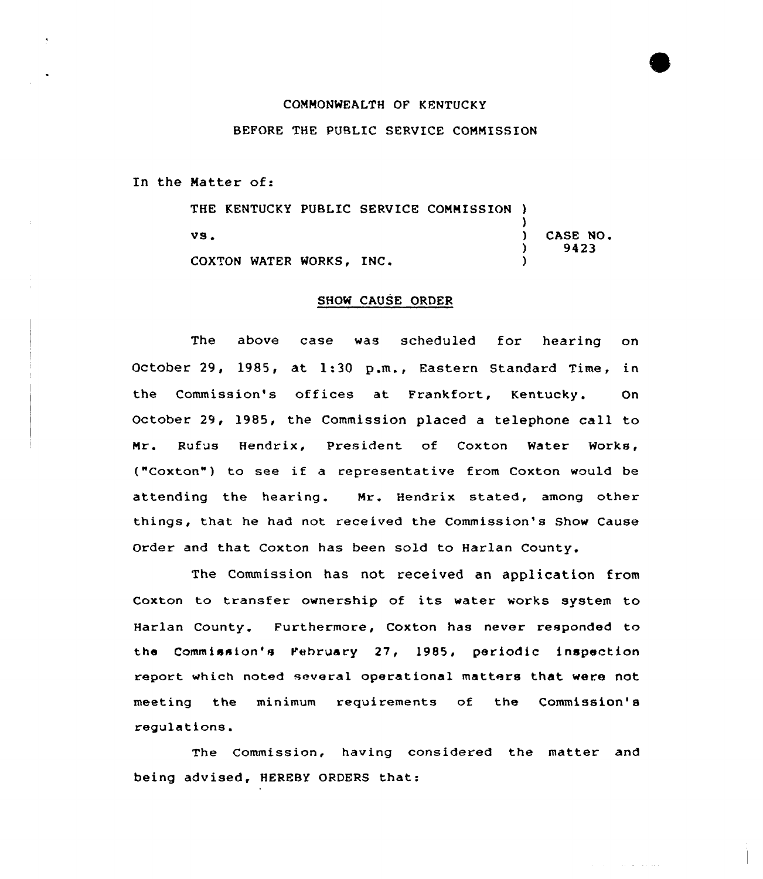## COMMONWEALTH OF KENTUCKY

## BEFORE THE PUBLIC SERVICE COMMISSION

In the Matter of:

THE KENTUCKY PUBLIC SERVICE COMMISSION ) )  $\mathbf{v}\mathbf{s}$  .  $\qquad \qquad$  )  $\left\{ \right\}$ COXTON WATER WORKS, INC. CASE NO. 9423

## SHOW CAUSE ORDER

The above case was scheduled for hearing on October 29, 1985, at 1:30 p.m., Eastern Standard Time, in the Commission's offices at Frankfort, Kentucky. On October 29, 1985, the Commission placed a telephone call to Mr. Rufus Hendrix, President of Coxton Water Works, ("Coxton") to see if <sup>a</sup> representative from Coxton would be attending the hearing. Mr. Hendrix stated, among other things, that he had not received the Commission's Show Cause Order and that Coxton has been sold to Harlan County.

The Commission has not received an application from Coxton to transfer ownership of its water works system to Harlan County. Furthermore, Coxton has never responded to the Commission's February 27, 1985, periodic inspection report which noted several operational matters that were not meeting the minimum requirements of the Commission's regulations.

The Commission, having considered the matter and being advised, HEREBY ORDERS that: